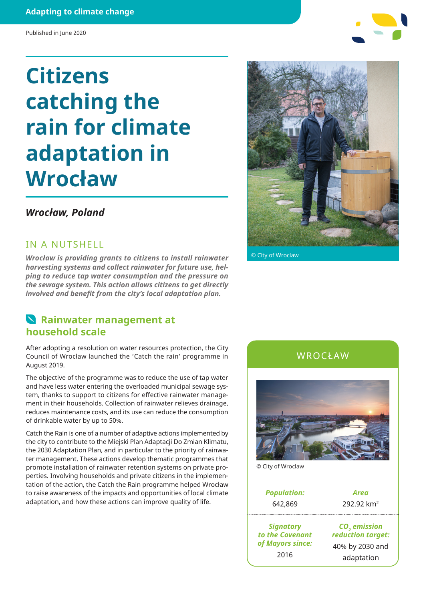### **Adapting to climate change**

#### Published in June 2020

# **Citizens catching the rain for climate adaptation in Wrocław**

### *Wrocław, Poland*

### IN A NUTSHELL

*Wrocław is providing grants to citizens to install rainwater harvesting systems and collect rainwater for future use, helping to reduce tap water consumption and the pressure on the sewage system. This action allows citizens to get directly involved and benefit from the city's local adaptation plan.* 

### **Rainwater management at household scale**

After adopting a resolution on water resources protection, the City Council of Wrocław launched the 'Catch the rain' programme in August 2019.

The objective of the programme was to reduce the use of tap water and have less water entering the overloaded municipal sewage system, thanks to support to citizens for effective rainwater management in their households. Collection of rainwater relieves drainage, reduces maintenance costs, and its use can reduce the consumption of drinkable water by up to 50%.

Catch the Rain is one of a number of adaptive actions implemented by the city to contribute to the Miejski Plan Adaptacji Do Zmian Klimatu, the 2030 Adaptation Plan, and in particular to the priority of rainwater management. These actions develop thematic programmes that promote installation of rainwater retention systems on private properties. Involving households and private citizens in the implementation of the action, the Catch the Rain programme helped Wrocław to raise awareness of the impacts and opportunities of local climate adaptation, and how these actions can improve quality of life.

# © City of Wroclaw

### WROCŁAW



© City of Wroclaw

| <b>Population:</b> | Area                     |
|--------------------|--------------------------|
| 642,869            | 292.92 km <sup>2</sup>   |
| <b>Signatory</b>   | CO <sub>2</sub> emission |
| to the Covenant    | reduction target:        |
| of Mayors since:   | 40% by 2030 and          |
| 2016               | adaptation               |